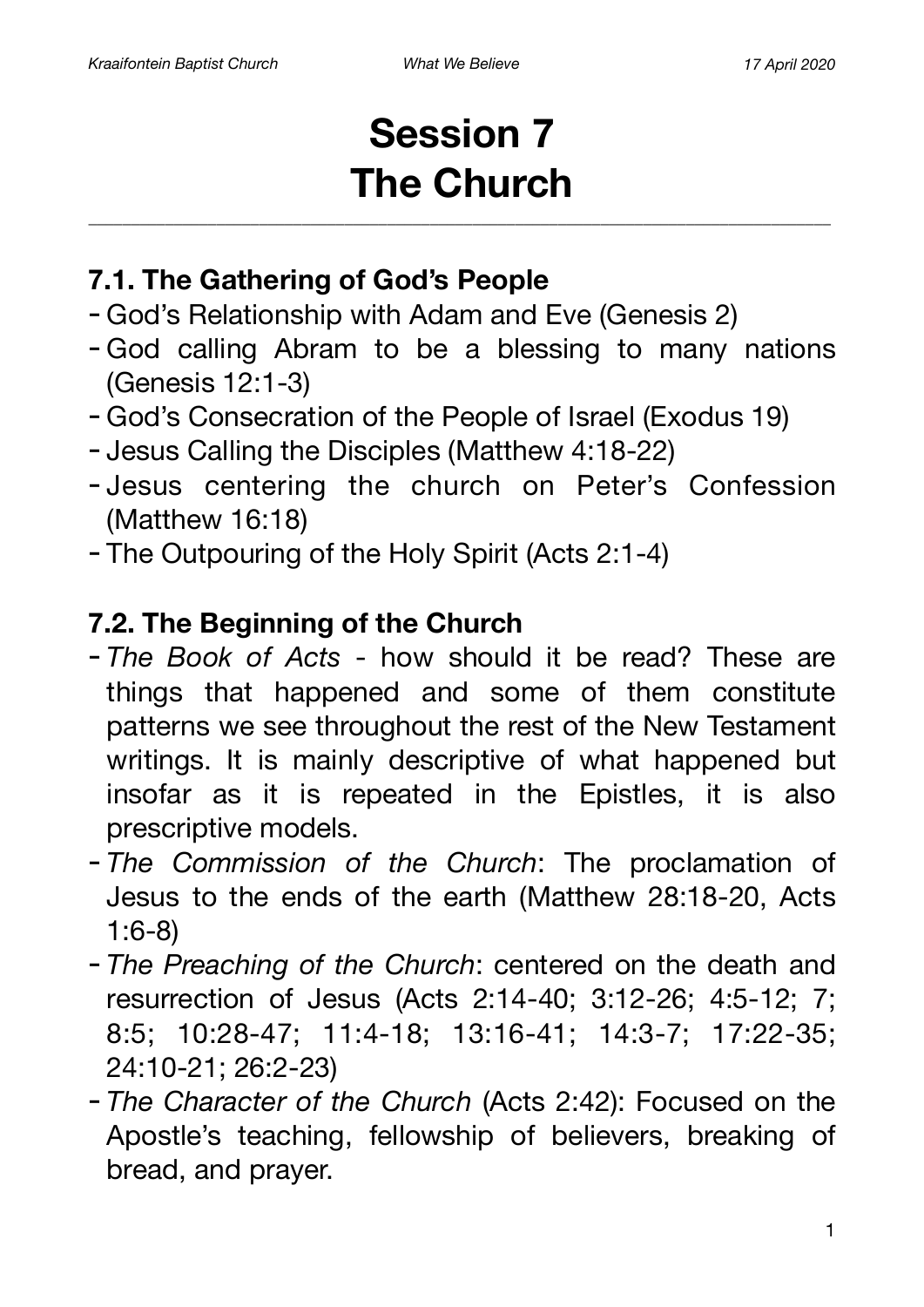# **Session 7 The Church**

### **7.1. The Gathering of God's People**

- God's Relationship with Adam and Eve (Genesis 2)
- God calling Abram to be a blessing to many nations (Genesis 12:1-3)
- God's Consecration of the People of Israel (Exodus 19)
- Jesus Calling the Disciples (Matthew 4:18-22)
- Jesus centering the church on Peter's Confession (Matthew 16:18)
- The Outpouring of the Holy Spirit (Acts 2:1-4)

### **7.2. The Beginning of the Church**

- *The Book of Acts* how should it be read? These are things that happened and some of them constitute patterns we see throughout the rest of the New Testament writings. It is mainly descriptive of what happened but insofar as it is repeated in the Epistles, it is also prescriptive models.
- *The Commission of the Church*: The proclamation of Jesus to the ends of the earth (Matthew 28:18-20, Acts 1:6-8)
- *The Preaching of the Church*: centered on the death and resurrection of Jesus (Acts 2:14-40; 3:12-26; 4:5-12; 7; 8:5; 10:28-47; 11:4-18; 13:16-41; 14:3-7; 17:22-35; 24:10-21; 26:2-23)
- *The Character of the Church* (Acts 2:42): Focused on the Apostle's teaching, fellowship of believers, breaking of bread, and prayer.